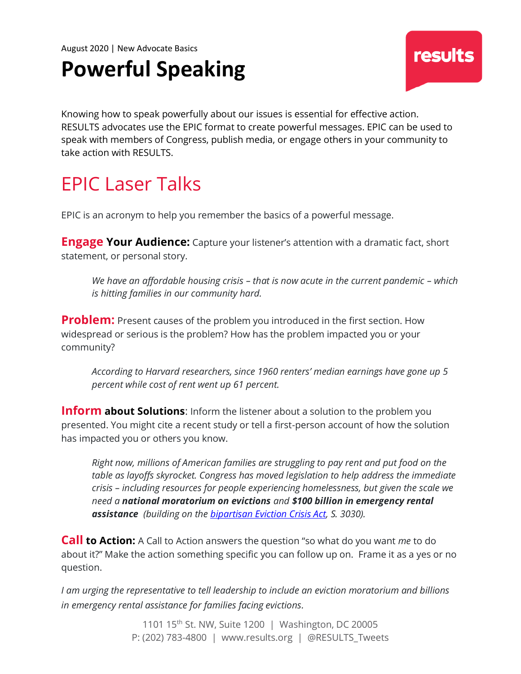August 2020 | New Advocate Basics

# **Powerful Speaking**

Knowing how to speak powerfully about our issues is essential for effective action. RESULTS advocates use the EPIC format to create powerful messages. EPIC can be used to speak with members of Congress, publish media, or engage others in your community to take action with RESULTS.

### EPIC Laser Talks

EPIC is an acronym to help you remember the basics of a powerful message.

**Engage Your Audience:** Capture your listener's attention with a dramatic fact, short statement, or personal story.

*We have an affordable housing crisis – that is now acute in the current pandemic – which is hitting families in our community hard.*

**Problem:** Present causes of the problem you introduced in the first section. How widespread or serious is the problem? How has the problem impacted you or your community?

*According to Harvard researchers, since 1960 renters' median earnings have gone up 5 percent while cost of rent went up 61 percent.*

**Inform about Solutions:** Inform the listener about a solution to the problem you presented. You might cite a recent study or tell a first-person account of how the solution has impacted you or others you know.

*Right now, millions of American families are struggling to pay rent and put food on the table as layoffs skyrocket. Congress has moved legislation to help address the immediate crisis – including resources for people experiencing homelessness, but given the scale we need a national moratorium on evictions and \$100 billion in emergency rental assistance (building on the [bipartisan Eviction Crisis Act,](https://results.org/volunteers/action-center/?vvsrc=%2fBills%2fUSA%2f20192020r%2fS.+3030) S. 3030).*

**Call to Action:** A Call to Action answers the question "so what do you want *me* to do about it?" Make the action something specific you can follow up on. Frame it as a yes or no question.

*I am urging the representative to tell leadership to include an eviction moratorium and billions in emergency rental assistance for families facing evictions.* 

> 1101 15<sup>th</sup> St. NW, Suite 1200 | Washington, DC 20005 P: (202) 783-4800 | www.results.org | @RESULTS\_Tweets